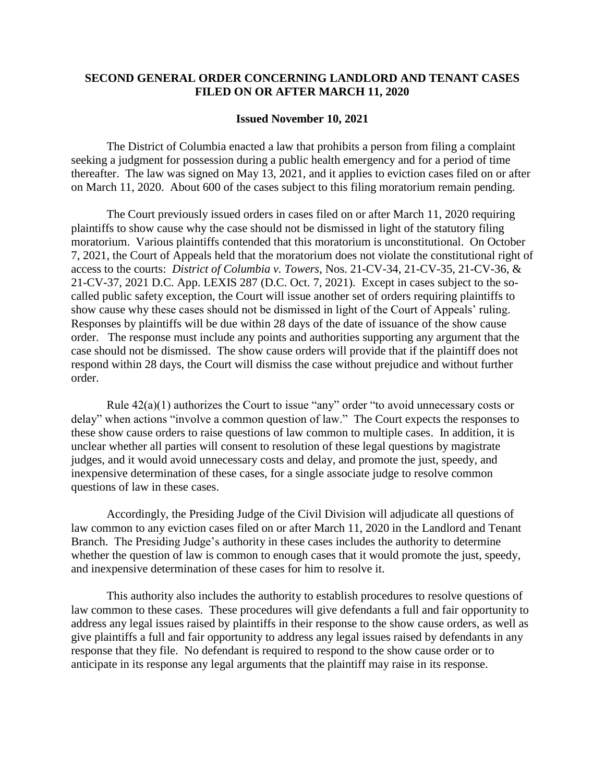## **SECOND GENERAL ORDER CONCERNING LANDLORD AND TENANT CASES FILED ON OR AFTER MARCH 11, 2020**

## **Issued November 10, 2021**

The District of Columbia enacted a law that prohibits a person from filing a complaint seeking a judgment for possession during a public health emergency and for a period of time thereafter. The law was signed on May 13, 2021, and it applies to eviction cases filed on or after on March 11, 2020. About 600 of the cases subject to this filing moratorium remain pending.

The Court previously issued orders in cases filed on or after March 11, 2020 requiring plaintiffs to show cause why the case should not be dismissed in light of the statutory filing moratorium. Various plaintiffs contended that this moratorium is unconstitutional. On October 7, 2021, the Court of Appeals held that the moratorium does not violate the constitutional right of access to the courts: *District of Columbia v. Towers*, Nos. 21-CV-34, 21-CV-35, 21-CV-36, & 21-CV-37, 2021 D.C. App. LEXIS 287 (D.C. Oct. 7, 2021). Except in cases subject to the socalled public safety exception, the Court will issue another set of orders requiring plaintiffs to show cause why these cases should not be dismissed in light of the Court of Appeals' ruling. Responses by plaintiffs will be due within 28 days of the date of issuance of the show cause order. The response must include any points and authorities supporting any argument that the case should not be dismissed. The show cause orders will provide that if the plaintiff does not respond within 28 days, the Court will dismiss the case without prejudice and without further order.

Rule 42(a)(1) authorizes the Court to issue "any" order "to avoid unnecessary costs or delay" when actions "involve a common question of law." The Court expects the responses to these show cause orders to raise questions of law common to multiple cases. In addition, it is unclear whether all parties will consent to resolution of these legal questions by magistrate judges, and it would avoid unnecessary costs and delay, and promote the just, speedy, and inexpensive determination of these cases, for a single associate judge to resolve common questions of law in these cases.

Accordingly, the Presiding Judge of the Civil Division will adjudicate all questions of law common to any eviction cases filed on or after March 11, 2020 in the Landlord and Tenant Branch. The Presiding Judge's authority in these cases includes the authority to determine whether the question of law is common to enough cases that it would promote the just, speedy, and inexpensive determination of these cases for him to resolve it.

This authority also includes the authority to establish procedures to resolve questions of law common to these cases. These procedures will give defendants a full and fair opportunity to address any legal issues raised by plaintiffs in their response to the show cause orders, as well as give plaintiffs a full and fair opportunity to address any legal issues raised by defendants in any response that they file. No defendant is required to respond to the show cause order or to anticipate in its response any legal arguments that the plaintiff may raise in its response.